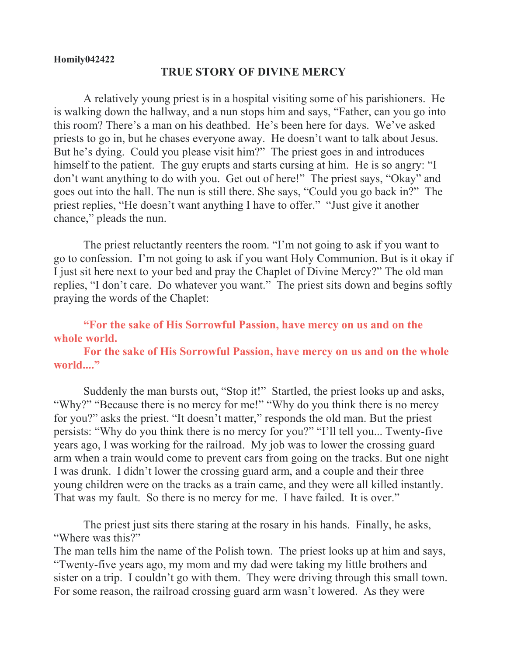## **Homily042422**

## **TRUE STORY OF DIVINE MERCY**

A relatively young priest is in a hospital visiting some of his parishioners. He is walking down the hallway, and a nun stops him and says, "Father, can you go into this room? There's a man on his deathbed. He's been here for days. We've asked priests to go in, but he chases everyone away. He doesn't want to talk about Jesus. But he's dying. Could you please visit him?" The priest goes in and introduces himself to the patient. The guy erupts and starts cursing at him. He is so angry: "I don't want anything to do with you. Get out of here!" The priest says, "Okay" and goes out into the hall. The nun is still there. She says, "Could you go back in?" The priest replies, "He doesn't want anything I have to offer." "Just give it another chance," pleads the nun.

The priest reluctantly reenters the room. "I'm not going to ask if you want to go to confession. I'm not going to ask if you want Holy Communion. But is it okay if I just sit here next to your bed and pray the Chaplet of Divine Mercy?" The old man replies, "I don't care. Do whatever you want." The priest sits down and begins softly praying the words of the Chaplet:

## **"For the sake of His Sorrowful Passion, have mercy on us and on the whole world.**

## **For the sake of His Sorrowful Passion, have mercy on us and on the whole**  world...."

Suddenly the man bursts out, "Stop it!" Startled, the priest looks up and asks, "Why?" "Because there is no mercy for me!" "Why do you think there is no mercy for you?" asks the priest. "It doesn't matter," responds the old man. But the priest persists: "Why do you think there is no mercy for you?" "I'll tell you... Twenty-five years ago, I was working for the railroad. My job was to lower the crossing guard arm when a train would come to prevent cars from going on the tracks. But one night I was drunk. I didn't lower the crossing guard arm, and a couple and their three young children were on the tracks as a train came, and they were all killed instantly. That was my fault. So there is no mercy for me. I have failed. It is over."

The priest just sits there staring at the rosary in his hands. Finally, he asks, "Where was this?"

The man tells him the name of the Polish town. The priest looks up at him and says, "Twenty-five years ago, my mom and my dad were taking my little brothers and sister on a trip. I couldn't go with them. They were driving through this small town. For some reason, the railroad crossing guard arm wasn't lowered. As they were